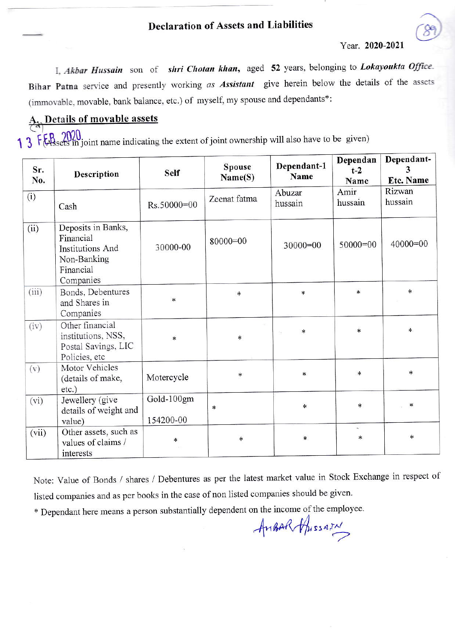## **Declaration of Assets and Liabilities**

Year. 2020-2021

I, Akbar Hussain son of shri Chotan khan, aged 52 years, belonging to Lokayoukta Office. Bihar Patna service and presently working as Assistant give herein below the details of the assets (immovable, movable, bank balance, etc.) of myself, my spouse and dependants\*:

## A Details of movable assets

1 3 FEB 2020 in joint name indicating the extent of joint ownership will also have to be given)

| Sr.<br>No. | Description                                                                                  | <b>Self</b>             | Dependant-1<br><b>Spouse</b><br>Name<br>Name(S) |                            | Dependan<br>$t-2$<br>Name | Dependant-<br>3<br><b>Etc. Name</b> |  |
|------------|----------------------------------------------------------------------------------------------|-------------------------|-------------------------------------------------|----------------------------|---------------------------|-------------------------------------|--|
| (i)        | Cash                                                                                         | Rs.50000=00             | Zeenat fatma                                    | Abuzar<br>hussain          | Amir<br>hussain           | Rizwan<br>hussain                   |  |
| (ii)       | Deposits in Banks,<br>Financial<br>Institutions And<br>Non-Banking<br>Financial<br>Companies | 30000-00                | 80000=00                                        | $50000=00$<br>$30000 = 00$ |                           | $40000=00$                          |  |
| (iii)      | Bonds, Debentures<br>and Shares in<br>Companies                                              | $\ast$                  | $\ast$                                          | $\ast$                     | *                         | $\ast$                              |  |
| (iv)       | Other financial<br>institutions, NSS,<br>Postal Savings, LIC<br>Policies, etc                | $\ast$                  | $\ast$                                          | *<br>hui.                  | $\ast$                    | $\ast$                              |  |
| (v)        | Motor Vehicles<br>(details of make,<br>etc.)                                                 | Motercycle              | *                                               | $\ast$                     | $\ast$                    | $\ast$                              |  |
| (vi)       | Jewellery (give<br>details of weight and<br>value)                                           | Gold-100gm<br>154200-00 | ∗                                               | $\star$                    | $\ast$                    | $\ast$                              |  |
| (vii)      | Other assets, such as<br>values of claims /<br>interests                                     | $\ast$                  |                                                 | $\ast$                     | $\sim$<br>$\ast$          | $\ast$                              |  |

Note: Value of Bonds / shares / Debentures as per the latest market value in Stock Exchange in respect of listed companies and as per books in the case of non listed companies should be given.

\* Dependant here means a person substantially dependent on the income of the employee.

AnBAR Apissary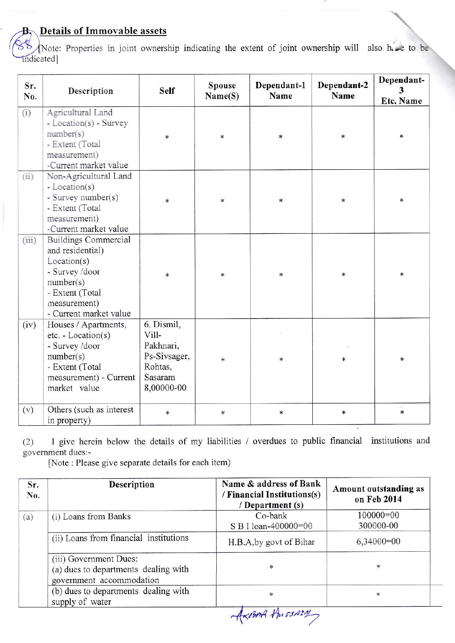## **Details of Immovable assets**

В.

Note: Properties in joint ownership indicating the extent of joint ownership will also here to be indicated]

| Sr.<br>No. | Description                                                                                                                                                | <b>Self</b>                                                                          | <b>Spouse</b><br>Name(S) | Dependant-1<br>Name | Dependant-2<br>Name | Dependant-<br>3<br>Etc. Name |
|------------|------------------------------------------------------------------------------------------------------------------------------------------------------------|--------------------------------------------------------------------------------------|--------------------------|---------------------|---------------------|------------------------------|
| (i)        | Agricultural Land<br>- Location(s) - Survey<br>number(s)<br>- Extent (Total<br>measurement)<br>-Current market value                                       | $\ast$                                                                               | $\ast$                   | $\ast$              | $\ast$              | $\ast$                       |
| (ii)       | Non-Agricultural Land<br>- Location(s)<br>- Survey number(s)<br>- Extent (Total<br>measurement)<br>-Current market value                                   | *                                                                                    | $\ast$                   | $\ast$              | $*$                 | $\ast$                       |
| (iii)      | <b>Buildings Commercial</b><br>and residential)<br>Location(s)<br>- Survey /door<br>number(s)<br>- Extent (Total<br>measurement)<br>- Current market value | $\ast$                                                                               | $\ast$                   | $\ast$              | $\ast$              | $\ast$                       |
| (iv)       | Houses / Apartments,<br>$etc. - Location(s)$<br>- Survey /door<br>number(s)<br>- Extent (Total<br>measurement) - Current<br>market value                   | 6. Dismil,<br>Vill-<br>Pakhnari,<br>Ps-Sivsager,<br>Rohtas,<br>Sasaram<br>8,00000-00 | $\ast$                   | $\ast$              | $\ast$              | $\ast$                       |
| (v)        | Others (such as interest<br>in property)                                                                                                                   | $\ast$                                                                               | $\ast$                   | $\ast$              | $\ast$              | $\ddot{*}$                   |

I give herein below the details of my liabilities / overdues to public financial institutions and  $(2)$ government dues:-

[Note: Please give separate details for each item)

| Sr.<br>No. | <b>Description</b>                                                                         | Name & address of Bank<br>/ Financial Institutions(s)<br>/ Department (s) | Amount outstanding as<br>on Feb 2014 |  |
|------------|--------------------------------------------------------------------------------------------|---------------------------------------------------------------------------|--------------------------------------|--|
| (a)        | (i) Loans from Banks                                                                       | Co-bank<br>S B I loan-400000=00                                           | 100000=00<br>300000-00               |  |
|            | (ii) Loans from financial institutions                                                     | H.B.A, by govt of Bihar                                                   | $6,34000=00$                         |  |
|            | (iii) Government Dues:<br>(a) dues to departments dealing with<br>government accommodation | $\ast$                                                                    | ∗                                    |  |
|            | (b) dues to departments dealing with<br>supply of water                                    | ×<br>$\sim$ $\sim$ $\Lambda$                                              | *                                    |  |

Axima thissarry